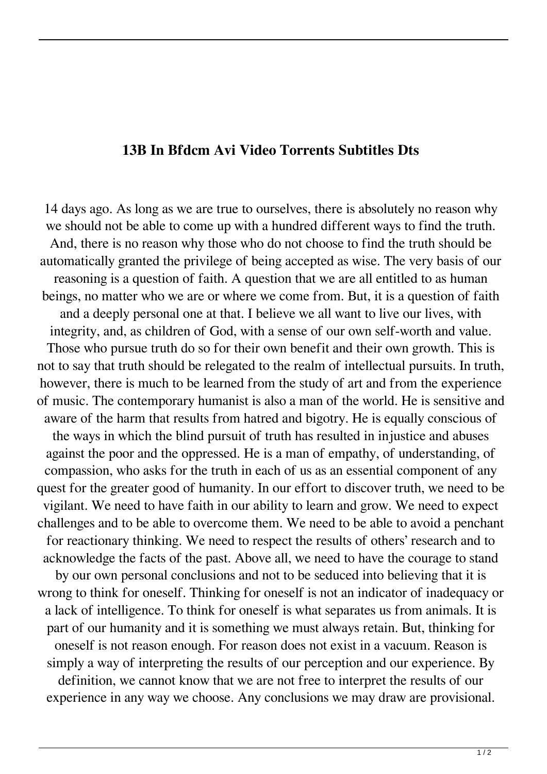## **13B In Bfdcm Avi Video Torrents Subtitles Dts**

14 days ago. As long as we are true to ourselves, there is absolutely no reason why we should not be able to come up with a hundred different ways to find the truth. And, there is no reason why those who do not choose to find the truth should be automatically granted the privilege of being accepted as wise. The very basis of our reasoning is a question of faith. A question that we are all entitled to as human beings, no matter who we are or where we come from. But, it is a question of faith and a deeply personal one at that. I believe we all want to live our lives, with integrity, and, as children of God, with a sense of our own self-worth and value. Those who pursue truth do so for their own benefit and their own growth. This is not to say that truth should be relegated to the realm of intellectual pursuits. In truth, however, there is much to be learned from the study of art and from the experience of music. The contemporary humanist is also a man of the world. He is sensitive and aware of the harm that results from hatred and bigotry. He is equally conscious of the ways in which the blind pursuit of truth has resulted in injustice and abuses against the poor and the oppressed. He is a man of empathy, of understanding, of compassion, who asks for the truth in each of us as an essential component of any quest for the greater good of humanity. In our effort to discover truth, we need to be vigilant. We need to have faith in our ability to learn and grow. We need to expect challenges and to be able to overcome them. We need to be able to avoid a penchant for reactionary thinking. We need to respect the results of others' research and to acknowledge the facts of the past. Above all, we need to have the courage to stand by our own personal conclusions and not to be seduced into believing that it is wrong to think for oneself. Thinking for oneself is not an indicator of inadequacy or a lack of intelligence. To think for oneself is what separates us from animals. It is part of our humanity and it is something we must always retain. But, thinking for oneself is not reason enough. For reason does not exist in a vacuum. Reason is simply a way of interpreting the results of our perception and our experience. By

definition, we cannot know that we are not free to interpret the results of our experience in any way we choose. Any conclusions we may draw are provisional.